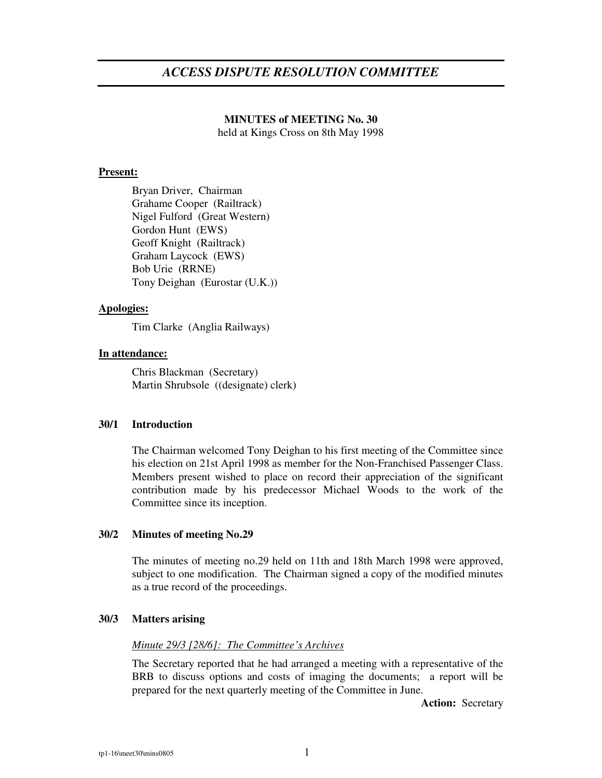# **MINUTES of MEETING No. 30** held at Kings Cross on 8th May 1998

## **Present:**

Bryan Driver, Chairman Grahame Cooper (Railtrack) Nigel Fulford (Great Western) Gordon Hunt (EWS) Geoff Knight (Railtrack) Graham Laycock (EWS) Bob Urie (RRNE) Tony Deighan (Eurostar (U.K.))

### **Apologies:**

Tim Clarke (Anglia Railways)

### **In attendance:**

Chris Blackman (Secretary) Martin Shrubsole ((designate) clerk)

#### **30/1 Introduction**

The Chairman welcomed Tony Deighan to his first meeting of the Committee since his election on 21st April 1998 as member for the Non-Franchised Passenger Class. Members present wished to place on record their appreciation of the significant contribution made by his predecessor Michael Woods to the work of the Committee since its inception.

# **30/2 Minutes of meeting No.29**

The minutes of meeting no.29 held on 11th and 18th March 1998 were approved, subject to one modification. The Chairman signed a copy of the modified minutes as a true record of the proceedings.

#### **30/3 Matters arising**

#### *Minute 29/3 [28/6]: The Committee's Archives*

The Secretary reported that he had arranged a meeting with a representative of the BRB to discuss options and costs of imaging the documents; a report will be prepared for the next quarterly meeting of the Committee in June.

**Action:** Secretary